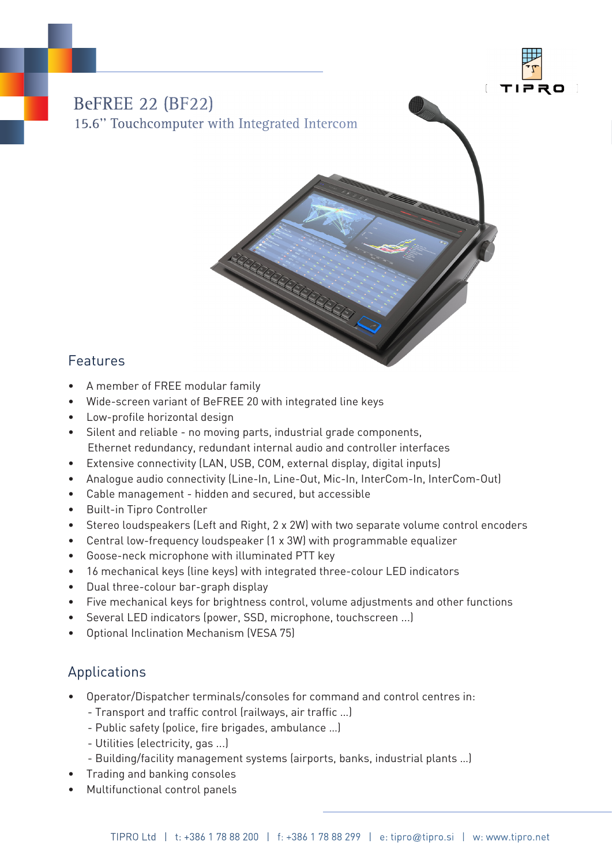

# BeFREE 22 (BF22) 15.6'' Touchcomputer with Integrated Intercom

## Features

- A member of FREE modular family
- Wide-screen variant of BeFREE 20 with integrated line keys
- Low-profile horizontal design
- Silent and reliable no moving parts, industrial grade components, Ethernet redundancy, redundant internal audio and controller interfaces
- Extensive connectivity (LAN, USB, COM, external display, digital inputs)
- Analogue audio connectivity (Line-In, Line-Out, Mic-In, InterCom-In, InterCom-Out)
- Cable management hidden and secured, but accessible
- Built-in Tipro Controller
- Stereo loudspeakers (Left and Right, 2 x 2W) with two separate volume control encoders
- Central low-frequency loudspeaker (1 x 3W) with programmable equalizer
- Goose-neck microphone with illuminated PTT key
- 16 mechanical keys (line keys) with integrated three-colour LED indicators
- Dual three-colour bar-graph display
- Five mechanical keys for brightness control, volume adjustments and other functions
- Several LED indicators (power, SSD, microphone, touchscreen ...)
- Optional Inclination Mechanism (VESA 75)

## Applications

- Operator/Dispatcher terminals/consoles for command and control centres in:
	- Transport and traffic control (railways, air traffic …)
	- Public safety (police, fire brigades, ambulance …)
	- Utilities (electricity, gas ...)
	- Building/facility management systems (airports, banks, industrial plants …)
- Trading and banking consoles
- Multifunctional control panels